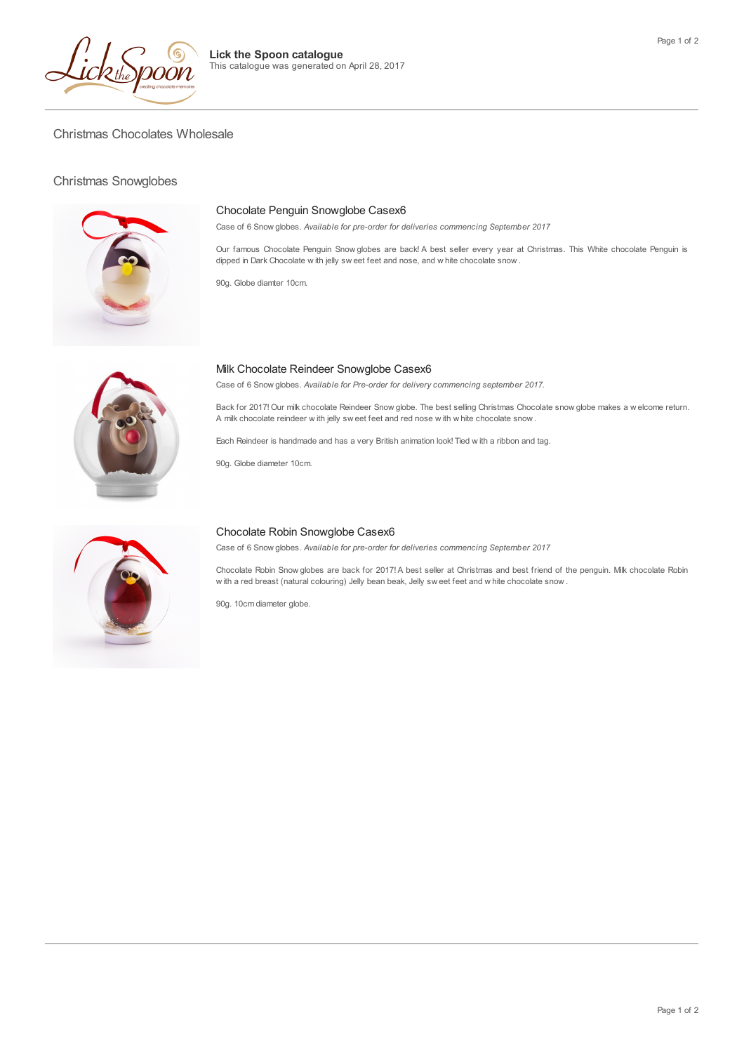

Christmas Chocolates Wholesale

## Christmas Snowglobes



### Chocolate Penguin Snowglobe Casex6

Case of 6 Snow globes. *Available for pre-order for deliveries commencing September 2017*

Our famous Chocolate Penguin Snow globes are back! A best seller every year at Christmas. This White chocolate Penguin is dipped in Dark Chocolate w ith jelly sw eet feet and nose, and w hite chocolate snow .

90g. Globe diamter 10cm.

**Lick the Spoon catalogue**

This catalogue was generated on April 28, 2017



# Milk Chocolate Reindeer Snowglobe Casex6

Case of 6 Snow globes. *Available for Pre-order for delivery commencing september 2017.*

Back for 2017! Our milk chocolate Reindeer Snow globe. The best selling Christmas Chocolate snow globe makes a w elcome return. A milk chocolate reindeer w ith jelly sw eet feet and red nose w ith w hite chocolate snow .

Each Reindeer is handmade and has a very British animation look! Tied w ith a ribbon and tag.

90g. Globe diameter 10cm.



#### Chocolate Robin Snowglobe Casex6

Case of 6 Snow globes. *Available for pre-order for deliveries commencing September 2017*

Chocolate Robin Snow globes are back for 2017! A best seller at Christmas and best friend of the penguin. Milk chocolate Robin w ith a red breast (natural colouring) Jelly bean beak, Jelly sw eet feet and w hite chocolate snow .

90g. 10cm diameter globe.